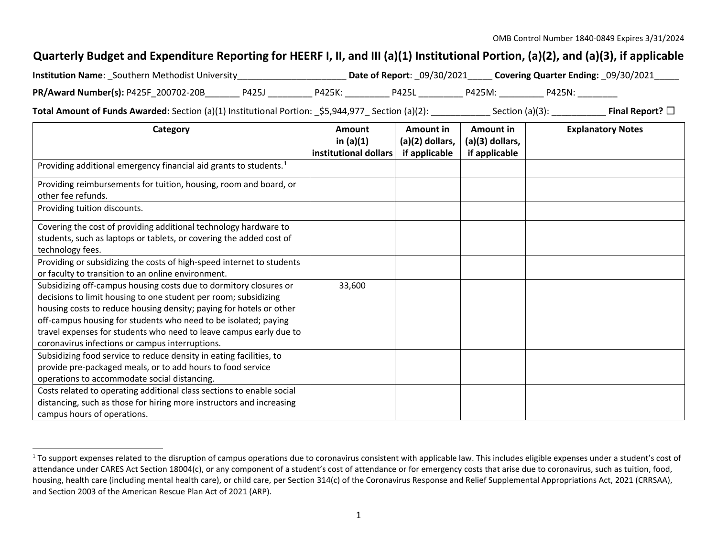## <span id="page-0-0"></span>**Quarterly Budget and Expenditure Reporting for HEERF I, II, and III (a)(1) Institutional Portion, (a)(2), and (a)(3), if applicable**

| <b>Institution Name:</b> Southern Methodist University |       |        | <b>Date of Report: 09/30/2021</b> |        | Covering Quarter Ending: 09/30/2021 |  |
|--------------------------------------------------------|-------|--------|-----------------------------------|--------|-------------------------------------|--|
| PR/Award Number(s): P425F 200702-20B                   | P425J | P425K: | <b>P425L</b>                      | P425M: | P425N:                              |  |

**Total Amount of Funds Awarded:** Section (a)(1) Institutional Portion: \$5,944,977 Section (a)(2): Section (a)(3): Final Report? □

| Category                                                                                                                                                                                                                                                                                                                                                                                                | Amount<br>in $(a)(1)$ | Amount in<br>$(a)(2)$ dollars, | Amount in<br>(a)(3) dollars, | <b>Explanatory Notes</b> |
|---------------------------------------------------------------------------------------------------------------------------------------------------------------------------------------------------------------------------------------------------------------------------------------------------------------------------------------------------------------------------------------------------------|-----------------------|--------------------------------|------------------------------|--------------------------|
|                                                                                                                                                                                                                                                                                                                                                                                                         | institutional dollars | if applicable                  | if applicable                |                          |
| Providing additional emergency financial aid grants to students. <sup>1</sup>                                                                                                                                                                                                                                                                                                                           |                       |                                |                              |                          |
| Providing reimbursements for tuition, housing, room and board, or<br>other fee refunds.                                                                                                                                                                                                                                                                                                                 |                       |                                |                              |                          |
| Providing tuition discounts.                                                                                                                                                                                                                                                                                                                                                                            |                       |                                |                              |                          |
| Covering the cost of providing additional technology hardware to<br>students, such as laptops or tablets, or covering the added cost of<br>technology fees.                                                                                                                                                                                                                                             |                       |                                |                              |                          |
| Providing or subsidizing the costs of high-speed internet to students<br>or faculty to transition to an online environment.                                                                                                                                                                                                                                                                             |                       |                                |                              |                          |
| Subsidizing off-campus housing costs due to dormitory closures or<br>decisions to limit housing to one student per room; subsidizing<br>housing costs to reduce housing density; paying for hotels or other<br>off-campus housing for students who need to be isolated; paying<br>travel expenses for students who need to leave campus early due to<br>coronavirus infections or campus interruptions. | 33,600                |                                |                              |                          |
| Subsidizing food service to reduce density in eating facilities, to<br>provide pre-packaged meals, or to add hours to food service<br>operations to accommodate social distancing.                                                                                                                                                                                                                      |                       |                                |                              |                          |
| Costs related to operating additional class sections to enable social<br>distancing, such as those for hiring more instructors and increasing<br>campus hours of operations.                                                                                                                                                                                                                            |                       |                                |                              |                          |

<sup>&</sup>lt;sup>1</sup> To support expenses related to the disruption of campus operations due to coronavirus consistent with applicable law. This includes eligible expenses under a student's cost of attendance under CARES Act Section 18004(c), or any component of a student's cost of attendance or for emergency costs that arise due to coronavirus, such as tuition, food, housing, health care (including mental health care), or child care, per Section 314(c) of the Coronavirus Response and Relief Supplemental Appropriations Act, 2021 (CRRSAA), and Section 2003 of the American Rescue Plan Act of 2021 (ARP).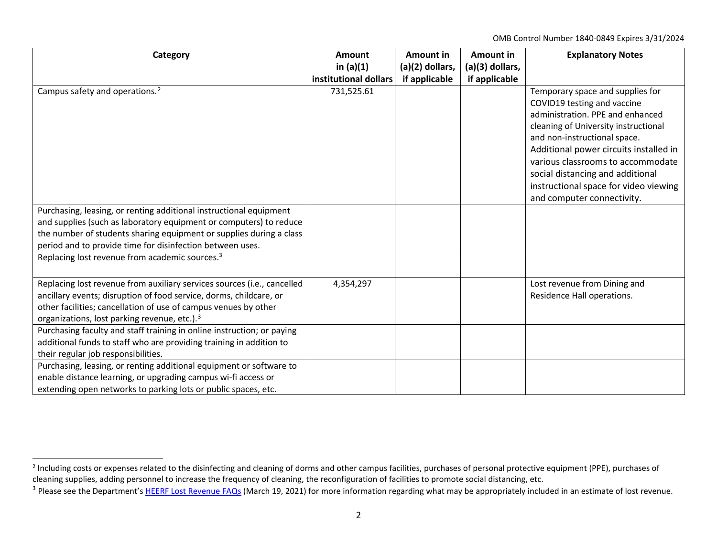<span id="page-1-1"></span><span id="page-1-0"></span>OMB Control Number 1840-0849 Expires 3/31/2024

| Category                                                                                                                                                                                                                                                                     | Amount<br>in $(a)(1)$ | Amount in<br>(a)(2) dollars, | Amount in<br>(a)(3) dollars, | <b>Explanatory Notes</b>                                                                                                                                                                                                                                                                                                                                              |
|------------------------------------------------------------------------------------------------------------------------------------------------------------------------------------------------------------------------------------------------------------------------------|-----------------------|------------------------------|------------------------------|-----------------------------------------------------------------------------------------------------------------------------------------------------------------------------------------------------------------------------------------------------------------------------------------------------------------------------------------------------------------------|
|                                                                                                                                                                                                                                                                              | institutional dollars | if applicable                | if applicable                |                                                                                                                                                                                                                                                                                                                                                                       |
| Campus safety and operations. <sup>2</sup>                                                                                                                                                                                                                                   | 731,525.61            |                              |                              | Temporary space and supplies for<br>COVID19 testing and vaccine<br>administration. PPE and enhanced<br>cleaning of University instructional<br>and non-instructional space.<br>Additional power circuits installed in<br>various classrooms to accommodate<br>social distancing and additional<br>instructional space for video viewing<br>and computer connectivity. |
| Purchasing, leasing, or renting additional instructional equipment<br>and supplies (such as laboratory equipment or computers) to reduce<br>the number of students sharing equipment or supplies during a class<br>period and to provide time for disinfection between uses. |                       |                              |                              |                                                                                                                                                                                                                                                                                                                                                                       |
| Replacing lost revenue from academic sources. <sup>3</sup>                                                                                                                                                                                                                   |                       |                              |                              |                                                                                                                                                                                                                                                                                                                                                                       |
| Replacing lost revenue from auxiliary services sources (i.e., cancelled<br>ancillary events; disruption of food service, dorms, childcare, or<br>other facilities; cancellation of use of campus venues by other<br>organizations, lost parking revenue, etc.). <sup>3</sup> | 4,354,297             |                              |                              | Lost revenue from Dining and<br>Residence Hall operations.                                                                                                                                                                                                                                                                                                            |
| Purchasing faculty and staff training in online instruction; or paying<br>additional funds to staff who are providing training in addition to<br>their regular job responsibilities.                                                                                         |                       |                              |                              |                                                                                                                                                                                                                                                                                                                                                                       |
| Purchasing, leasing, or renting additional equipment or software to<br>enable distance learning, or upgrading campus wi-fi access or<br>extending open networks to parking lots or public spaces, etc.                                                                       |                       |                              |                              |                                                                                                                                                                                                                                                                                                                                                                       |

<sup>&</sup>lt;sup>2</sup> Including costs or expenses related to the disinfecting and cleaning of dorms and other campus facilities, purchases of personal protective equipment (PPE), purchases of cleaning supplies, adding personnel to increase the frequency of cleaning, the reconfiguration of facilities to promote social distancing, etc.

<sup>&</sup>lt;sup>3</sup> Please see the Department'[s HEERF Lost Revenue FAQs](https://www2.ed.gov/about/offices/list/ope/heerflostrevenuefaqs.pdf) (March 19, 2021) for more information regarding what may be appropriately included in an estimate of lost revenue.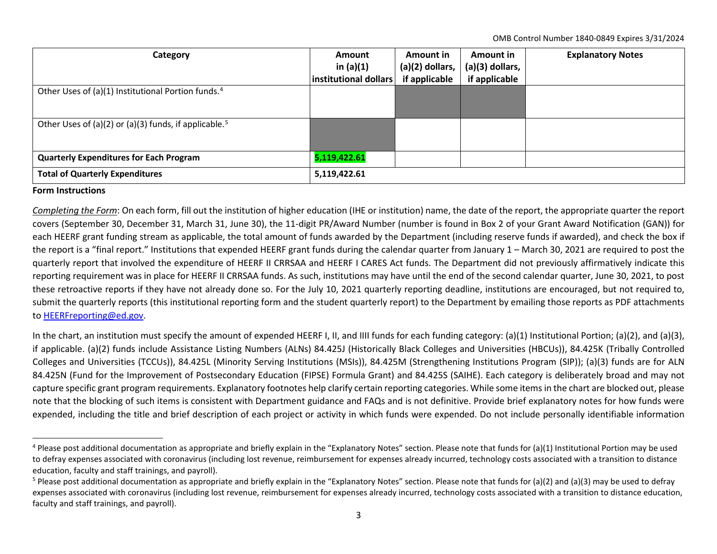<span id="page-2-1"></span><span id="page-2-0"></span>OMB Control Number 1840-0849 Expires 3/31/2024

| Category                                                          | <b>Amount</b><br>in $(a)(1)$<br>institutional dollars | Amount in<br>(a)(2) dollars,<br>if applicable | <b>Amount in</b><br>$(a)(3)$ dollars,<br>if applicable | <b>Explanatory Notes</b> |
|-------------------------------------------------------------------|-------------------------------------------------------|-----------------------------------------------|--------------------------------------------------------|--------------------------|
| Other Uses of (a)(1) Institutional Portion funds. <sup>4</sup>    |                                                       |                                               |                                                        |                          |
| Other Uses of (a)(2) or (a)(3) funds, if applicable. <sup>5</sup> |                                                       |                                               |                                                        |                          |
| <b>Quarterly Expenditures for Each Program</b>                    | 5,119,422.61                                          |                                               |                                                        |                          |
| <b>Total of Quarterly Expenditures</b>                            | 5,119,422.61                                          |                                               |                                                        |                          |

## **Form Instructions**

*Completing the Form*: On each form, fill out the institution of higher education (IHE or institution) name, the date of the report, the appropriate quarter the report covers (September 30, December 31, March 31, June 30), the 11-digit PR/Award Number (number is found in Box 2 of your Grant Award Notification (GAN)) for each HEERF grant funding stream as applicable, the total amount of funds awarded by the Department (including reserve funds if awarded), and check the box if the report is a "final report." Institutions that expended HEERF grant funds during the calendar quarter from January 1 – March 30, 2021 are required to post the quarterly report that involved the expenditure of HEERF II CRRSAA and HEERF I CARES Act funds. The Department did not previously affirmatively indicate this reporting requirement was in place for HEERF II CRRSAA funds. As such, institutions may have until the end of the second calendar quarter, June 30, 2021, to post these retroactive reports if they have not already done so. For the July 10, 2021 quarterly reporting deadline, institutions are encouraged, but not required to, submit the quarterly reports (this institutional reporting form and the student quarterly report) to the Department by emailing those reports as PDF attachments to [HEERFreporting@ed.gov.](mailto:HEERFreporting@ed.gov)

In the chart, an institution must specify the amount of expended HEERF I, II, and IIII funds for each funding category: (a)(1) Institutional Portion; (a)(2), and (a)(3), if applicable. (a)(2) funds include Assistance Listing Numbers (ALNs) 84.425J (Historically Black Colleges and Universities (HBCUs)), 84.425K (Tribally Controlled Colleges and Universities (TCCUs)), 84.425L (Minority Serving Institutions (MSIs)), 84.425M (Strengthening Institutions Program (SIP)); (a)(3) funds are for ALN 84.425N (Fund for the Improvement of Postsecondary Education (FIPSE) Formula Grant) and 84.425S (SAIHE). Each category is deliberately broad and may not capture specific grant program requirements. Explanatory footnotes help clarify certain reporting categories. While some items in the chart are blocked out, please note that the blocking of such items is consistent with Department guidance and FAQs and is not definitive. Provide brief explanatory notes for how funds were expended, including the title and brief description of each project or activity in which funds were expended. Do not include personally identifiable information

 $4$  Please post additional documentation as appropriate and briefly explain in the "Explanatory Notes" section. Please note that funds for (a)(1) Institutional Portion may be used to defray expenses associated with coronavirus (including lost revenue, reimbursement for expenses already incurred, technology costs associated with a transition to distance education, faculty and staff trainings, and payroll).

<sup>&</sup>lt;sup>5</sup> Please post additional documentation as appropriate and briefly explain in the "Explanatory Notes" section. Please note that funds for (a)(2) and (a)(3) may be used to defray expenses associated with coronavirus (including lost revenue, reimbursement for expenses already incurred, technology costs associated with a transition to distance education, faculty and staff trainings, and payroll).